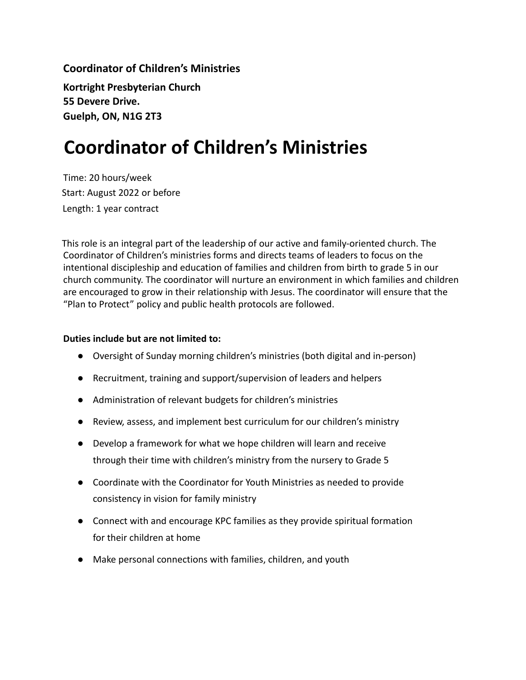**Coordinator of Children's Ministries Kortright Presbyterian Church 55 Devere Drive. Guelph, ON, N1G 2T3**

## **Coordinator of Children's Ministries**

Time: 20 hours/week Start: August 2022 or before Length: 1 year contract

This role is an integral part of the leadership of our active and family-oriented church. The Coordinator of Children's ministries forms and directs teams of leaders to focus on the intentional discipleship and education of families and children from birth to grade 5 in our church community. The coordinator will nurture an environment in which families and children are encouraged to grow in their relationship with Jesus. The coordinator will ensure that the "Plan to Protect" policy and public health protocols are followed.

## **Duties include but are not limited to:**

- Oversight of Sunday morning children's ministries (both digital and in-person)
- Recruitment, training and support/supervision of leaders and helpers
- Administration of relevant budgets for children's ministries
- Review, assess, and implement best curriculum for our children's ministry
- Develop a framework for what we hope children will learn and receive through their time with children's ministry from the nursery to Grade 5
- Coordinate with the Coordinator for Youth Ministries as needed to provide consistency in vision for family ministry
- Connect with and encourage KPC families as they provide spiritual formation for their children at home
- Make personal connections with families, children, and youth